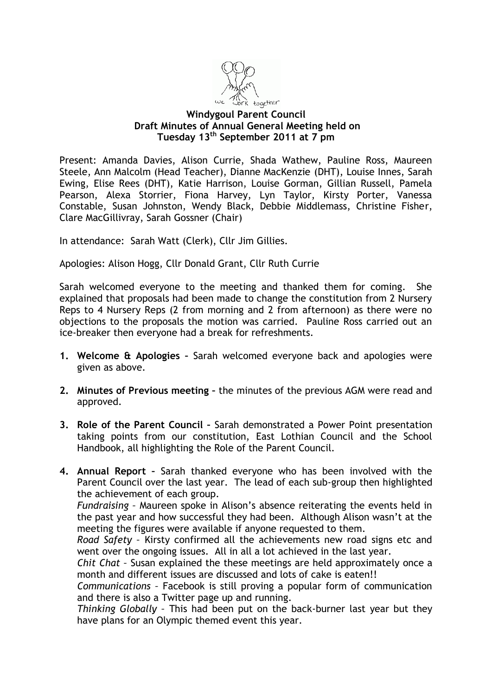

## **Windygoul Parent Council Draft Minutes of Annual General Meeting held on Tuesday 13th September 2011 at 7 pm**

Present: Amanda Davies, Alison Currie, Shada Wathew, Pauline Ross, Maureen Steele, Ann Malcolm (Head Teacher), Dianne MacKenzie (DHT), Louise Innes, Sarah Ewing, Elise Rees (DHT), Katie Harrison, Louise Gorman, Gillian Russell, Pamela Pearson, Alexa Storrier, Fiona Harvey, Lyn Taylor, Kirsty Porter, Vanessa Constable, Susan Johnston, Wendy Black, Debbie Middlemass, Christine Fisher, Clare MacGillivray, Sarah Gossner (Chair)

In attendance: Sarah Watt (Clerk), Cllr Jim Gillies.

Apologies: Alison Hogg, Cllr Donald Grant, Cllr Ruth Currie

Sarah welcomed everyone to the meeting and thanked them for coming. She explained that proposals had been made to change the constitution from 2 Nursery Reps to 4 Nursery Reps (2 from morning and 2 from afternoon) as there were no objections to the proposals the motion was carried. Pauline Ross carried out an ice-breaker then everyone had a break for refreshments.

- **1. Welcome & Apologies –** Sarah welcomed everyone back and apologies were given as above.
- **2. Minutes of Previous meeting –** the minutes of the previous AGM were read and approved.
- **3. Role of the Parent Council –** Sarah demonstrated a Power Point presentation taking points from our constitution, East Lothian Council and the School Handbook, all highlighting the Role of the Parent Council.
- **4. Annual Report –** Sarah thanked everyone who has been involved with the Parent Council over the last year. The lead of each sub-group then highlighted the achievement of each group.

*Fundraising –* Maureen spoke in Alison's absence reiterating the events held in the past year and how successful they had been. Although Alison wasn't at the meeting the figures were available if anyone requested to them.

*Road Safety –* Kirsty confirmed all the achievements new road signs etc and went over the ongoing issues. All in all a lot achieved in the last year.

*Chit Chat –* Susan explained the these meetings are held approximately once a month and different issues are discussed and lots of cake is eaten!!

*Communications –* Facebook is still proving a popular form of communication and there is also a Twitter page up and running.

*Thinking Globally –* This had been put on the back-burner last year but they have plans for an Olympic themed event this year.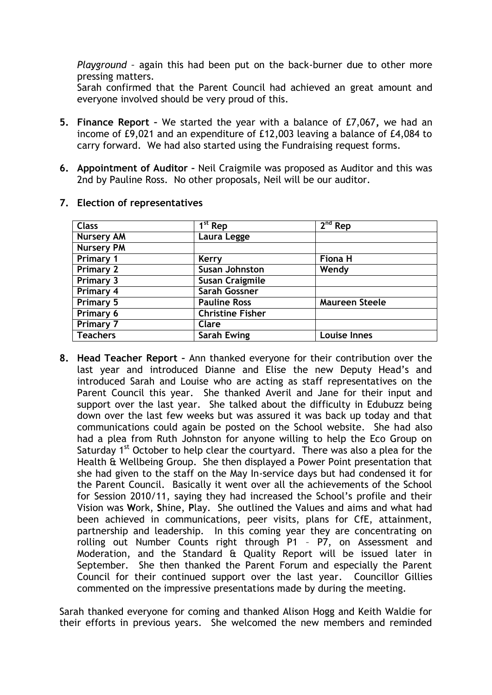*Playground –* again this had been put on the back-burner due to other more pressing matters.

Sarah confirmed that the Parent Council had achieved an great amount and everyone involved should be very proud of this.

- **5. Finance Report –** We started the year with a balance of £7,067**,** we had an income of £9,021 and an expenditure of £12,003 leaving a balance of £4,084 to carry forward. We had also started using the Fundraising request forms.
- **6. Appointment of Auditor –** Neil Craigmile was proposed as Auditor and this was 2nd by Pauline Ross. No other proposals, Neil will be our auditor.

| <b>Class</b>      | $\overline{1}^{st}$ Rep | $2nd$ Rep             |
|-------------------|-------------------------|-----------------------|
| <b>Nursery AM</b> | Laura Legge             |                       |
| <b>Nursery PM</b> |                         |                       |
| Primary 1         | Kerry                   | <b>Fiona H</b>        |
| <b>Primary 2</b>  | <b>Susan Johnston</b>   | Wendy                 |
| <b>Primary 3</b>  | <b>Susan Craigmile</b>  |                       |
| Primary 4         | <b>Sarah Gossner</b>    |                       |
| <b>Primary 5</b>  | <b>Pauline Ross</b>     | <b>Maureen Steele</b> |
| Primary 6         | <b>Christine Fisher</b> |                       |
| <b>Primary 7</b>  | Clare                   |                       |
| <b>Teachers</b>   | <b>Sarah Ewing</b>      | <b>Louise Innes</b>   |

## **7. Election of representatives**

**8. Head Teacher Report –** Ann thanked everyone for their contribution over the last year and introduced Dianne and Elise the new Deputy Head's and introduced Sarah and Louise who are acting as staff representatives on the Parent Council this year. She thanked Averil and Jane for their input and support over the last year. She talked about the difficulty in Edubuzz being down over the last few weeks but was assured it was back up today and that communications could again be posted on the School website. She had also had a plea from Ruth Johnston for anyone willing to help the Eco Group on Saturday 1<sup>st</sup> October to help clear the courtyard. There was also a plea for the Health & Wellbeing Group. She then displayed a Power Point presentation that she had given to the staff on the May In-service days but had condensed it for the Parent Council. Basically it went over all the achievements of the School for Session 2010/11, saying they had increased the School's profile and their Vision was **W**ork, **S**hine, **P**lay. She outlined the Values and aims and what had been achieved in communications, peer visits, plans for CfE, attainment, partnership and leadership. In this coming year they are concentrating on rolling out Number Counts right through P1 - P7, on Assessment and Moderation, and the Standard & Quality Report will be issued later in September. She then thanked the Parent Forum and especially the Parent Council for their continued support over the last year. Councillor Gillies commented on the impressive presentations made by during the meeting.

Sarah thanked everyone for coming and thanked Alison Hogg and Keith Waldie for their efforts in previous years. She welcomed the new members and reminded